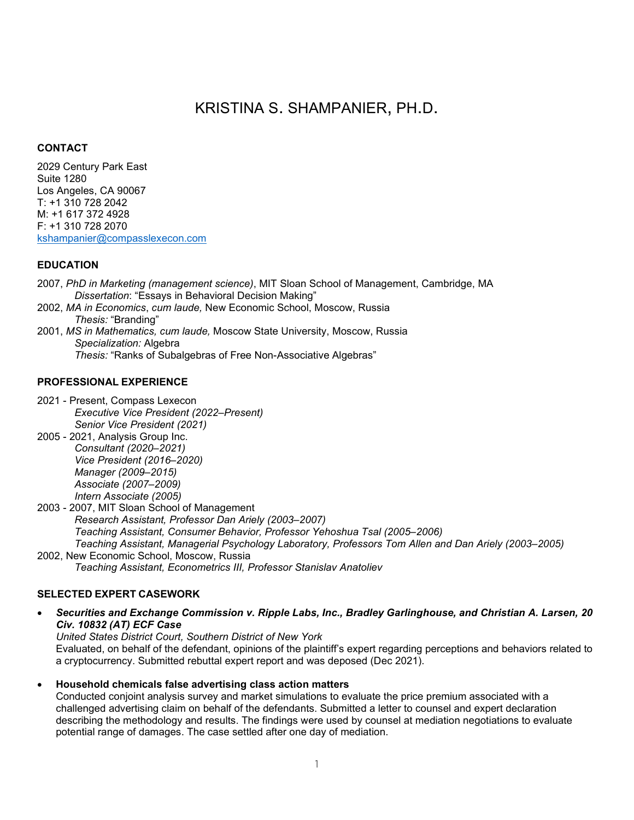# KRISTINA S. SHAMPANIER, PH.D.

# **CONTACT**

2029 Century Park East Suite 1280 Los Angeles, CA 90067 T: +1 310 728 2042 M: +1 617 372 4928 F: +1 310 728 2070 [kshampanier@compasslexecon.com](mailto:kshampanier@compasslexecon.com)

# **EDUCATION**

- 2007, *PhD in Marketing (management science)*, MIT Sloan School of Management, Cambridge, MA *Dissertation*: "Essays in Behavioral Decision Making"
- 2002, *MA in Economics*, *cum laude,* New Economic School, Moscow, Russia *Thesis:* "Branding"
- 2001, *MS in Mathematics, cum laude,* Moscow State University, Moscow, Russia *Specialization:* Algebra *Thesis:* "Ranks of Subalgebras of Free Non-Associative Algebras"

# **PROFESSIONAL EXPERIENCE**

2021 - Present, Compass Lexecon *Executive Vice President (2022–Present) Senior Vice President (2021)*

2005 - 2021, Analysis Group Inc. *Consultant (2020–2021) Vice President (2016–2020) Manager (2009–2015) Associate (2007–2009) Intern Associate (2005)*

2003 - 2007, MIT Sloan School of Management *Research Assistant, Professor Dan Ariely (2003–2007) Teaching Assistant, Consumer Behavior, Professor Yehoshua Tsal (2005–2006) Teaching Assistant, Managerial Psychology Laboratory, Professors Tom Allen and Dan Ariely (2003–2005)*

2002, New Economic School, Moscow, Russia *Teaching Assistant, Econometrics III, Professor Stanislav Anatoliev*

# **SELECTED EXPERT CASEWORK**

• *Securities and Exchange Commission v. Ripple Labs, Inc., Bradley Garlinghouse, and Christian A. Larsen, 20 Civ. 10832 (AT) ECF Case* 

*United States District Court, Southern District of New York* Evaluated, on behalf of the defendant, opinions of the plaintiff's expert regarding perceptions and behaviors related to a cryptocurrency. Submitted rebuttal expert report and was deposed (Dec 2021).

• **Household chemicals false advertising class action matters**

Conducted conjoint analysis survey and market simulations to evaluate the price premium associated with a challenged advertising claim on behalf of the defendants. Submitted a letter to counsel and expert declaration describing the methodology and results. The findings were used by counsel at mediation negotiations to evaluate potential range of damages. The case settled after one day of mediation.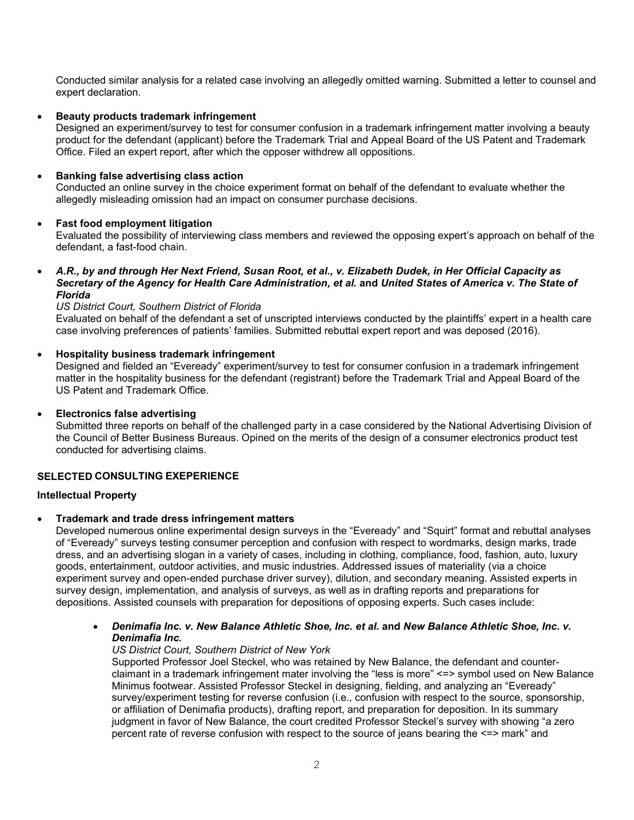Conducted similar analysis for a related case involving an allegedly omitted warning. Submitted a letter to counsel and expert declaration.

## • **Beauty products trademark infringement**

Designed an experiment/survey to test for consumer confusion in a trademark infringement matter involving a beauty product for the defendant (applicant) before the Trademark Trial and Appeal Board of the US Patent and Trademark Office. Filed an expert report, after which the opposer withdrew all oppositions.

## • **Banking false advertising class action**

Conducted an online survey in the choice experiment format on behalf of the defendant to evaluate whether the allegedly misleading omission had an impact on consumer purchase decisions.

## • **Fast food employment litigation**

Evaluated the possibility of interviewing class members and reviewed the opposing expert's approach on behalf of the defendant, a fast-food chain.

• *A.R., by and through Her Next Friend, Susan Root, et al., v. Elizabeth Dudek, in Her Official Capacity as Secretary of the Agency for Health Care Administration, et al.* **and** *United States of America v. The State of Florida*

## *US District Court, Southern District of Florida*

Evaluated on behalf of the defendant a set of unscripted interviews conducted by the plaintiffs' expert in a health care case involving preferences of patients' families. Submitted rebuttal expert report and was deposed (2016).

## • **Hospitality business trademark infringement**

Designed and fielded an "Eveready" experiment/survey to test for consumer confusion in a trademark infringement matter in the hospitality business for the defendant (registrant) before the Trademark Trial and Appeal Board of the US Patent and Trademark Office.

## • **Electronics false advertising**

Submitted three reports on behalf of the challenged party in a case considered by the National Advertising Division of the Council of Better Business Bureaus. Opined on the merits of the design of a consumer electronics product test conducted for advertising claims.

## **SELECTED CONSULTING EXEPERIENCE**

## **Intellectual Property**

## • **Trademark and trade dress infringement matters**

Developed numerous online experimental design surveys in the "Eveready" and "Squirt" format and rebuttal analyses of "Eveready" surveys testing consumer perception and confusion with respect to wordmarks, design marks, trade dress, and an advertising slogan in a variety of cases, including in clothing, compliance, food, fashion, auto, luxury goods, entertainment, outdoor activities, and music industries. Addressed issues of materiality (via a choice experiment survey and open-ended purchase driver survey), dilution, and secondary meaning. Assisted experts in survey design, implementation, and analysis of surveys, as well as in drafting reports and preparations for depositions. Assisted counsels with preparation for depositions of opposing experts. Such cases include:

• *Denimafia Inc. v. New Balance Athletic Shoe, Inc. et al.* **and** *New Balance Athletic Shoe, Inc. v. Denimafia Inc.* 

## *US District Court, Southern District of New York*

Supported Professor Joel Steckel, who was retained by New Balance, the defendant and counterclaimant in a trademark infringement mater involving the "less is more" <=> symbol used on New Balance Minimus footwear. Assisted Professor Steckel in designing, fielding, and analyzing an "Eveready" survey/experiment testing for reverse confusion (i.e., confusion with respect to the source, sponsorship, or affiliation of Denimafia products), drafting report, and preparation for deposition. In its summary judgment in favor of New Balance, the court credited Professor Steckel's survey with showing "a zero percent rate of reverse confusion with respect to the source of jeans bearing the <=> mark" and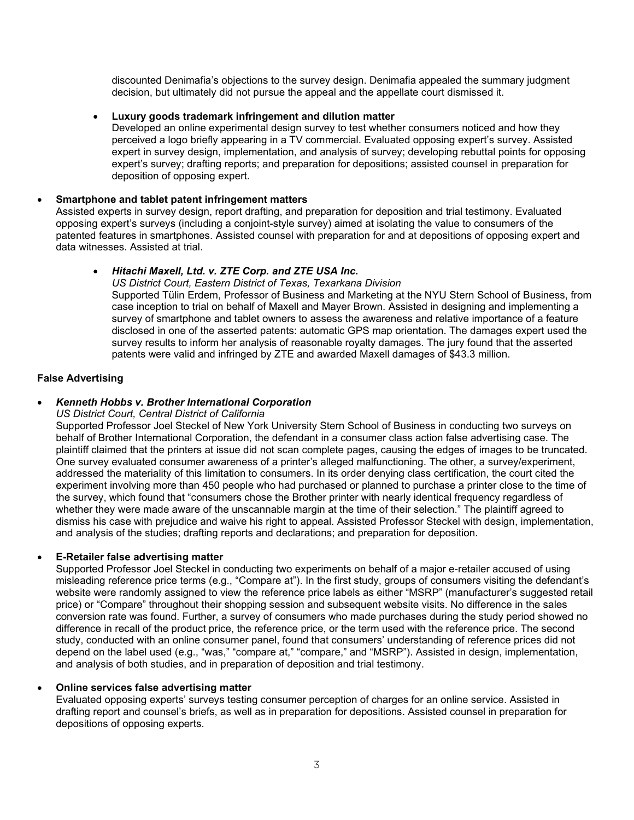discounted Denimafia's objections to the survey design. Denimafia appealed the summary judgment decision, but ultimately did not pursue the appeal and the appellate court dismissed it.

## • **Luxury goods trademark infringement and dilution matter**

Developed an online experimental design survey to test whether consumers noticed and how they perceived a logo briefly appearing in a TV commercial. Evaluated opposing expert's survey. Assisted expert in survey design, implementation, and analysis of survey; developing rebuttal points for opposing expert's survey; drafting reports; and preparation for depositions; assisted counsel in preparation for deposition of opposing expert.

## • **Smartphone and tablet patent infringement matters**

Assisted experts in survey design, report drafting, and preparation for deposition and trial testimony. Evaluated opposing expert's surveys (including a conjoint-style survey) aimed at isolating the value to consumers of the patented features in smartphones. Assisted counsel with preparation for and at depositions of opposing expert and data witnesses. Assisted at trial.

## • *Hitachi Maxell, Ltd. v. ZTE Corp. and ZTE USA Inc.*

*US District Court, Eastern District of Texas, Texarkana Division*

Supported Tülin Erdem, Professor of Business and Marketing at the NYU Stern School of Business, from case inception to trial on behalf of Maxell and Mayer Brown. Assisted in designing and implementing a survey of smartphone and tablet owners to assess the awareness and relative importance of a feature disclosed in one of the asserted patents: automatic GPS map orientation. The damages expert used the survey results to inform her analysis of reasonable royalty damages. The jury found that the asserted patents were valid and infringed by ZTE and awarded Maxell damages of \$43.3 million.

## **False Advertising**

## • *Kenneth Hobbs v. Brother International Corporation*

## *US District Court, Central District of California*

Supported Professor Joel Steckel of New York University Stern School of Business in conducting two surveys on behalf of Brother International Corporation, the defendant in a consumer class action false advertising case. The plaintiff claimed that the printers at issue did not scan complete pages, causing the edges of images to be truncated. One survey evaluated consumer awareness of a printer's alleged malfunctioning. The other, a survey/experiment, addressed the materiality of this limitation to consumers. In its order denying class certification, the court cited the experiment involving more than 450 people who had purchased or planned to purchase a printer close to the time of the survey, which found that "consumers chose the Brother printer with nearly identical frequency regardless of whether they were made aware of the unscannable margin at the time of their selection." The plaintiff agreed to dismiss his case with prejudice and waive his right to appeal. Assisted Professor Steckel with design, implementation, and analysis of the studies; drafting reports and declarations; and preparation for deposition.

## • **E-Retailer false advertising matter**

Supported Professor Joel Steckel in conducting two experiments on behalf of a major e-retailer accused of using misleading reference price terms (e.g., "Compare at"). In the first study, groups of consumers visiting the defendant's website were randomly assigned to view the reference price labels as either "MSRP" (manufacturer's suggested retail price) or "Compare" throughout their shopping session and subsequent website visits. No difference in the sales conversion rate was found. Further, a survey of consumers who made purchases during the study period showed no difference in recall of the product price, the reference price, or the term used with the reference price. The second study, conducted with an online consumer panel, found that consumers' understanding of reference prices did not depend on the label used (e.g., "was," "compare at," "compare," and "MSRP"). Assisted in design, implementation, and analysis of both studies, and in preparation of deposition and trial testimony.

## • **Online services false advertising matter**

Evaluated opposing experts' surveys testing consumer perception of charges for an online service. Assisted in drafting report and counsel's briefs, as well as in preparation for depositions. Assisted counsel in preparation for depositions of opposing experts.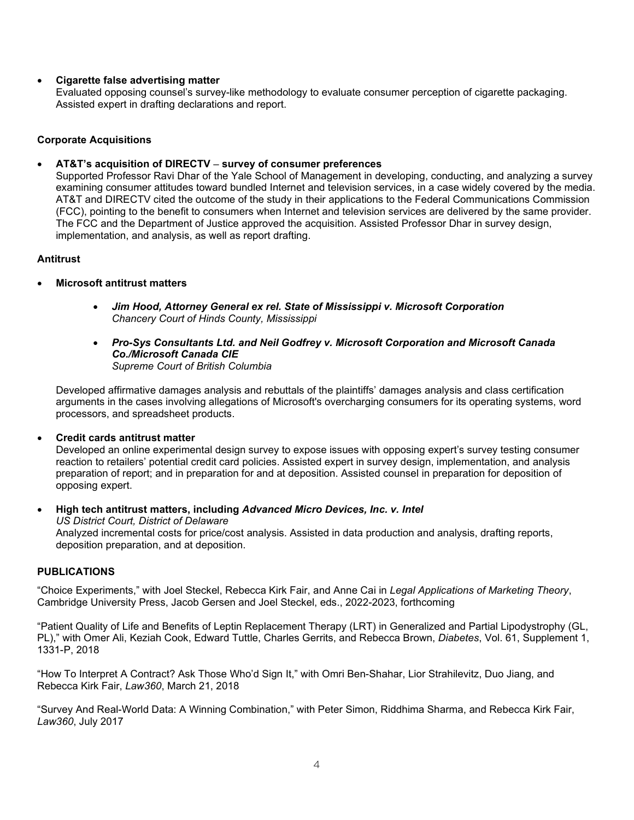# • **Cigarette false advertising matter**

Evaluated opposing counsel's survey-like methodology to evaluate consumer perception of cigarette packaging. Assisted expert in drafting declarations and report.

## **Corporate Acquisitions**

## • **AT&T's acquisition of DIRECTV** − **survey of consumer preferences**

Supported Professor Ravi Dhar of the Yale School of Management in developing, conducting, and analyzing a survey examining consumer attitudes toward bundled Internet and television services, in a case widely covered by the media. AT&T and DIRECTV cited the outcome of the study in their applications to the Federal Communications Commission (FCC), pointing to the benefit to consumers when Internet and television services are delivered by the same provider. The FCC and the Department of Justice approved the acquisition. Assisted Professor Dhar in survey design, implementation, and analysis, as well as report drafting.

## **Antitrust**

- **Microsoft antitrust matters**
	- *Jim Hood, Attorney General ex rel. State of Mississippi v. Microsoft Corporation Chancery Court of Hinds County, Mississippi*
	- *Pro-Sys Consultants Ltd. and Neil Godfrey v. Microsoft Corporation and Microsoft Canada Co./Microsoft Canada CIE Supreme Court of British Columbia*

Developed affirmative damages analysis and rebuttals of the plaintiffs' damages analysis and class certification arguments in the cases involving allegations of Microsoft's overcharging consumers for its operating systems, word processors, and spreadsheet products.

• **Credit cards antitrust matter**

Developed an online experimental design survey to expose issues with opposing expert's survey testing consumer reaction to retailers' potential credit card policies. Assisted expert in survey design, implementation, and analysis preparation of report; and in preparation for and at deposition. Assisted counsel in preparation for deposition of opposing expert.

• **High tech antitrust matters, including** *Advanced Micro Devices, Inc. v. Intel US District Court, District of Delaware* Analyzed incremental costs for price/cost analysis. Assisted in data production and analysis, drafting reports, deposition preparation, and at deposition.

## **PUBLICATIONS**

"Choice Experiments," with Joel Steckel, Rebecca Kirk Fair, and Anne Cai in *Legal Applications of Marketing Theory*, Cambridge University Press, Jacob Gersen and Joel Steckel, eds., 2022-2023, forthcoming

"Patient Quality of Life and Benefits of Leptin Replacement Therapy (LRT) in Generalized and Partial Lipodystrophy (GL, PL)," with Omer Ali, Keziah Cook, Edward Tuttle, Charles Gerrits, and Rebecca Brown, *Diabetes*, Vol. 61, Supplement 1, 1331-P, 2018

"How To Interpret A Contract? Ask Those Who'd Sign It," with Omri Ben-Shahar, Lior Strahilevitz, Duo Jiang, and Rebecca Kirk Fair, *Law360*, March 21, 2018

"Survey And Real-World Data: A Winning Combination," with Peter Simon, Riddhima Sharma, and Rebecca Kirk Fair, *Law360*, July 2017